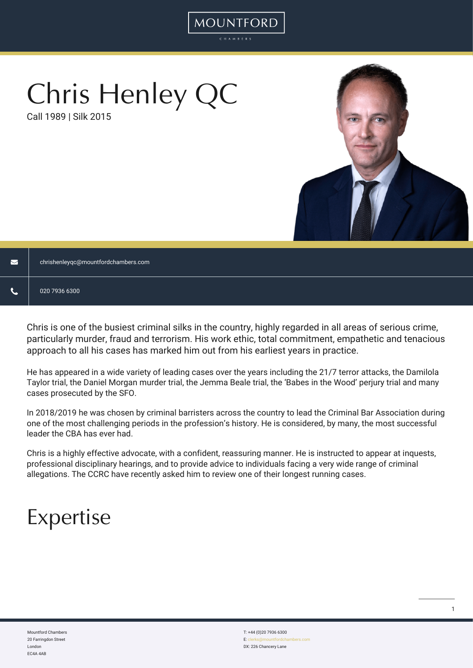# Chris Henley QC

Call 1989 | Silk 2015



|  | chrishenleyqc@mountfordchambers.com |
|--|-------------------------------------|
|--|-------------------------------------|

Chris is one of the busiest criminal silks in the country, highly regarded in all areas of serious crime, particularly murder, fraud and terrorism. His work ethic, total commitment, empathetic and tenacious approach to all his cases has marked him out from his earliest years in practice.

**MOUNTFORD** 

He has appeared in a wide variety of leading cases over the years including the 21/7 terror attacks, the Damilola Taylor trial, the Daniel Morgan murder trial, the Jemma Beale trial, the 'Babes in the Wood' perjury trial and many cases prosecuted by the SFO.

In 2018/2019 he was chosen by criminal barristers across the country to lead the Criminal Bar Association during one of the most challenging periods in the profession's history. He is considered, by many, the most successful leader the CBA has ever had.

Chris is a highly effective advocate, with a confident, reassuring manner. He is instructed to appear at inquests, professional disciplinary hearings, and to provide advice to individuals facing a very wide range of criminal allegations. The CCRC have recently asked him to review one of their longest running cases.

## Expertise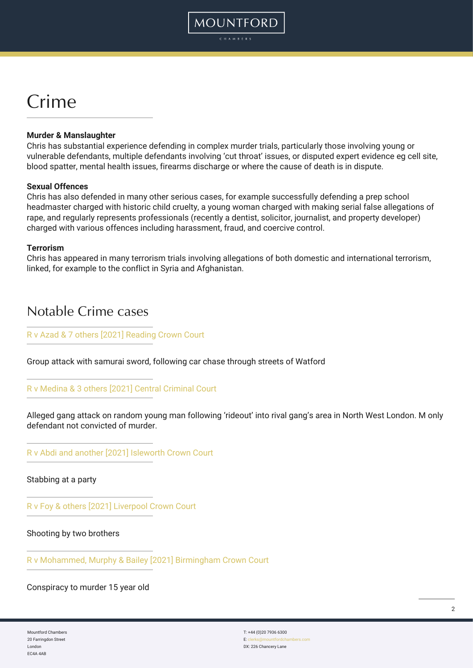## Crime

#### **Murder & Manslaughter**

Chris has substantial experience defending in complex murder trials, particularly those involving young or vulnerable defendants, multiple defendants involving 'cut throat' issues, or disputed expert evidence eg cell site, blood spatter, mental health issues, firearms discharge or where the cause of death is in dispute.

#### **Sexual Offences**

Chris has also defended in many other serious cases, for example successfully defending a prep school headmaster charged with historic child cruelty, a young woman charged with making serial false allegations of rape, and regularly represents professionals (recently a dentist, solicitor, journalist, and property developer) charged with various offences including harassment, fraud, and coercive control.

#### **Terrorism**

Chris has appeared in many terrorism trials involving allegations of both domestic and international terrorism, linked, for example to the conflict in Syria and Afghanistan.

## Notable Crime cases

#### [R v Azad & 7 others \[2021\] Reading Crown Court](https://www.watfordobserver.co.uk/news/19473792.murder-trial-luke-oconnell-stabbed-watford/)

Group attack with samurai sword, following car chase through streets of Watford

#### [R v Medina & 3 others \[2021\] Central Criminal Court](https://www.bbc.co.uk/news/uk-england-london-57700126)

Alleged gang attack on random young man following 'rideout' into rival gang's area in North West London. M only defendant not convicted of murder.

[R v Abdi and another \[2021\] Isleworth Crown Court](https://www.getsurrey.co.uk/news/local-news/jealous-controlling-man-among-two-20870940)

Stabbing at a party

[R v Foy & others \[2021\] Liverpool Crown Court](https://www.bbc.co.uk/news/uk-england-merseyside-56091729)

Shooting by two brothers

[R v Mohammed, Murphy & Bailey \[2021\] Birmingham Crown Court](https://www.birminghammail.co.uk/news/midlands-news/teen-shot-outside-grandparents-home-19809473)

Conspiracy to murder 15 year old

Mountford Chambers 20 Farringdon Street London EC4A 4AB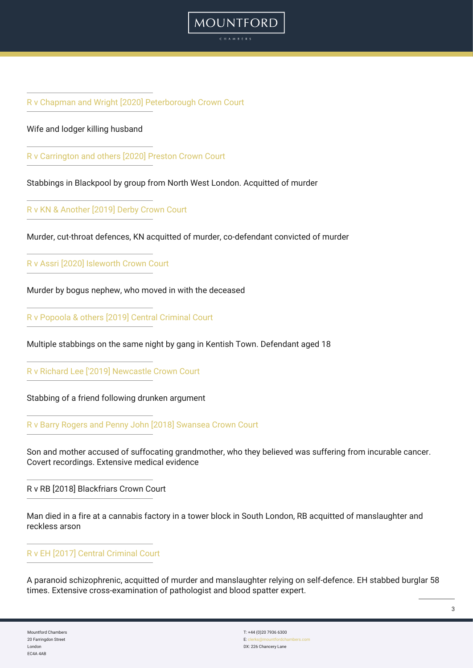[R v Chapman and Wright \[2020\] Peterborough Crown Court](https://www.bbc.co.uk/news/uk-england-cambridgeshire-55274104)

#### Wife and lodger killing husband

[R v Carrington and others \[2020\] Preston Crown Court](https://www.bbc.co.uk/news/uk-england-lancashire-55071866)

Stabbings in Blackpool by group from North West London. Acquitted of murder

[R v KN & Another \[2019\] Derby Crown Court](https://www.bbc.co.uk/news/uk-england-derbyshire-48939871)

Murder, cut-throat defences, KN acquitted of murder, co-defendant convicted of murder

**MOUNTFORD** 

[R v Assri \[2020\] Isleworth Crown Court](https://londonnewsonline.co.uk/man-who-pretended-to-be-nephew-of-vulnerable-man-convicted-for-his-murder/)

Murder by bogus nephew, who moved in with the deceased

[R v Popoola & others \[2019\] Central Criminal Court](https://www.bbc.co.uk/news/uk-england-london-45488025)

Multiple stabbings on the same night by gang in Kentish Town. Defendant aged 18

[R v Richard Lee \['2019\] Newcastle Crown Court](https://www.thenorthernecho.co.uk/news/17436105.richie-lee-rule-street---knifeman-found-guilty-back-lane-stabbing-death/)

Stabbing of a friend following drunken argument

[R v Barry Rogers and Penny John \[2018\] Swansea Crown Court](https://www.theguardian.com/uk-news/2018/feb/08/ex-soldier-mother-jailed-life-grandmothers-murder-betty-guy-wales)

Son and mother accused of suffocating grandmother, who they believed was suffering from incurable cancer. Covert recordings. Extensive medical evidence

R v RB [2018] Blackfriars Crown Court

Man died in a fire at a cannabis factory in a tower block in South London, RB acquitted of manslaughter and reckless arson

## [R v EH \[2017\] Central Criminal Court](https://www.dailymail.co.uk/news/article-5197493/Homeowner-killed-drunk-burglar-cleared-murder.html)

A paranoid schizophrenic, acquitted of murder and manslaughter relying on self-defence. EH stabbed burglar 58 times. Extensive cross-examination of pathologist and blood spatter expert.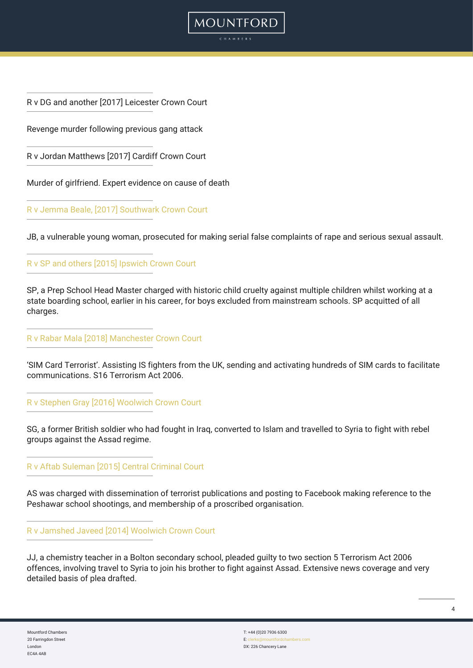R v DG and another [2017] Leicester Crown Court

Revenge murder following previous gang attack

R v Jordan Matthews [2017] Cardiff Crown Court

Murder of girlfriend. Expert evidence on cause of death

[R v Jemma Beale, \[2017\] Southwark Crown Court](https://www.dailymail.co.uk/news/article-4671800/Woman-guilty-falsely-accusing-15-men-rape.html)

JB, a vulnerable young woman, prosecuted for making serial false complaints of rape and serious sexual assault.

**MOUNTFORD** 

[R v SP and others \[2015\] Ipswich Crown Court](https://www.northamptonchron.co.uk/news/breaking-news-northamptonshire-teacher-cleared-child-cruelty-case-after-prosecution-drop-charges-2225153)

SP, a Prep School Head Master charged with historic child cruelty against multiple children whilst working at a state boarding school, earlier in his career, for boys excluded from mainstream schools. SP acquitted of all charges.

[R v Rabar Mala \[2018\] Manchester Crown Court](https://www.bbc.co.uk/news/uk-43927338)

'SIM Card Terrorist'. Assisting IS fighters from the UK, sending and activating hundreds of SIM cards to facilitate communications. S16 Terrorism Act 2006.

[R v Stephen Gray \[2016\] Woolwich Crown Court](https://www.bbc.co.uk/news/uk-england-manchester-36807051)

SG, a former British soldier who had fought in Iraq, converted to Islam and travelled to Syria to fight with rebel groups against the Assad regime.

[R v Aftab Suleman \[2015\] Central Criminal Court](https://www.dailymail.co.uk/news/article-3165714/Muslim-extremist-distributed-Al-Qaeda-s-house-magazine-containing-guide-bombing-British-football-stadiums-suburban-bedroom-jailed-three-years.html)

AS was charged with dissemination of terrorist publications and posting to Facebook making reference to the Peshawar school shootings, and membership of a proscribed organisation.

[R v Jamshed Javeed \[2014\] Woolwich Crown Court](https://www.bbc.co.uk/news/uk-29786550)

JJ, a chemistry teacher in a Bolton secondary school, pleaded guilty to two section 5 Terrorism Act 2006 offences, involving travel to Syria to join his brother to fight against Assad. Extensive news coverage and very detailed basis of plea drafted.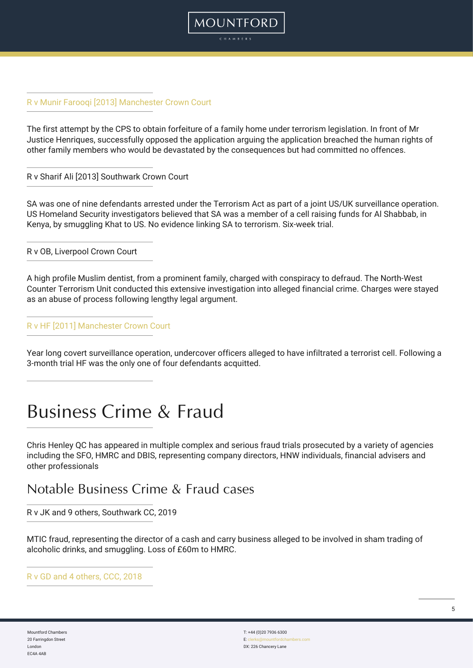

The first attempt by the CPS to obtain forfeiture of a family home under terrorism legislation. In front of Mr Justice Henriques, successfully opposed the application arguing the application breached the human rights of other family members who would be devastated by the consequences but had committed no offences.

MOUNTFORD

R v Sharif Ali [2013] Southwark Crown Court

SA was one of nine defendants arrested under the Terrorism Act as part of a joint US/UK surveillance operation. US Homeland Security investigators believed that SA was a member of a cell raising funds for Al Shabbab, in Kenya, by smuggling Khat to US. No evidence linking SA to terrorism. Six-week trial.

R v OB, Liverpool Crown Court

A high profile Muslim dentist, from a prominent family, charged with conspiracy to defraud. The North-West Counter Terrorism Unit conducted this extensive investigation into alleged financial crime. Charges were stayed as an abuse of process following lengthy legal argument.

[R v HF \[2011\] Manchester Crown Court](https://www.bbc.co.uk/news/uk-england-manchester-14851811)

Year long covert surveillance operation, undercover officers alleged to have infiltrated a terrorist cell. Following a 3-month trial HF was the only one of four defendants acquitted.

## Business Crime & Fraud

Chris Henley QC has appeared in multiple complex and serious fraud trials prosecuted by a variety of agencies including the SFO, HMRC and DBIS, representing company directors, HNW individuals, financial advisers and other professionals

## Notable Business Crime & Fraud cases

R v JK and 9 others, Southwark CC, 2019

MTIC fraud, representing the director of a cash and carry business alleged to be involved in sham trading of alcoholic drinks, and smuggling. Loss of £60m to HMRC.

[R v GD and 4 others, CCC, 2018](https://www.bbc.co.uk/news/uk-england-beds-bucks-herts-50425979)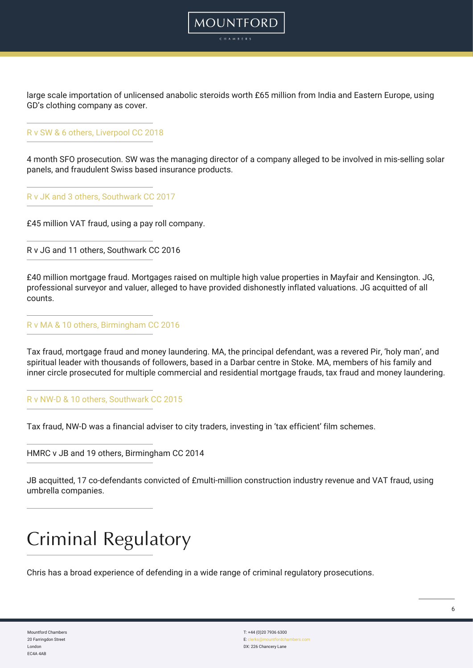large scale importation of unlicensed anabolic steroids worth £65 million from India and Eastern Europe, using GD's clothing company as cover.

MOUNTFORD

#### [R v SW & 6 others, Liverpool CC 2018](https://www.bbc.co.uk/news/uk-england-merseyside-45713046)

4 month SFO prosecution. SW was the managing director of a company alleged to be involved in mis-selling solar panels, and fraudulent Swiss based insurance products.

[R v JK and 3 others, Southwark CC 2017](https://www.dailymail.co.uk/news/article-4589048/Family-stole-45m-VAT-scam-jailed-27-years.html)

£45 million VAT fraud, using a pay roll company.

R v JG and 11 others, Southwark CC 2016

£40 million mortgage fraud. Mortgages raised on multiple high value properties in Mayfair and Kensington. JG, professional surveyor and valuer, alleged to have provided dishonestly inflated valuations. JG acquitted of all counts.

[R v MA & 10 others, Birmingham CC 2016](https://www.bbc.co.uk/news/uk-england-stoke-staffordshire-36103880)

Tax fraud, mortgage fraud and money laundering. MA, the principal defendant, was a revered Pir, 'holy man', and spiritual leader with thousands of followers, based in a Darbar centre in Stoke. MA, members of his family and inner circle prosecuted for multiple commercial and residential mortgage frauds, tax fraud and money laundering.

#### [R v NW-D & 10 others, Southwark CC 2015](https://www.theguardian.com/uk-news/2016/jul/01/film-producers-jailed-for-audacious-22m-film-tax-scam)

Tax fraud, NW-D was a financial adviser to city traders, investing in 'tax efficient' film schemes.

HMRC v JB and 19 others, Birmingham CC 2014

JB acquitted, 17 co-defendants convicted of £multi-million construction industry revenue and VAT fraud, using umbrella companies.

## Criminal Regulatory

Chris has a broad experience of defending in a wide range of criminal regulatory prosecutions.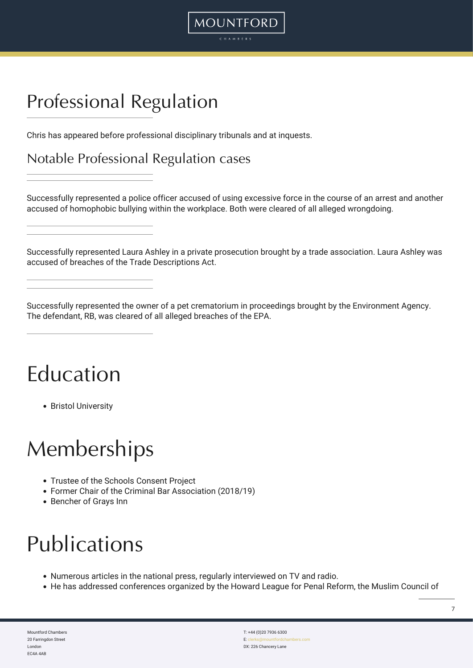## Professional Regulation

Chris has appeared before professional disciplinary tribunals and at inquests.

Notable Professional Regulation cases

Successfully represented a police officer accused of using excessive force in the course of an arrest and another accused of homophobic bullying within the workplace. Both were cleared of all alleged wrongdoing.

MOUNTFORD

Successfully represented Laura Ashley in a private prosecution brought by a trade association. Laura Ashley was accused of breaches of the Trade Descriptions Act.

Successfully represented the owner of a pet crematorium in proceedings brought by the Environment Agency. The defendant, RB, was cleared of all alleged breaches of the EPA.

## Education

• Bristol University

## **Memberships**

- Trustee of the Schools Consent Project
- Former Chair of the Criminal Bar Association (2018/19)
- Bencher of Grays Inn

## Publications

- Numerous articles in the national press, regularly interviewed on TV and radio.
- He has addressed conferences organized by the Howard League for Penal Reform, the Muslim Council of

Mountford Chambers 20 Farringdon Street London EC4A 4AB

T: +44 (0)20 7936 6300 E: cler DX: 226 Chancery Lane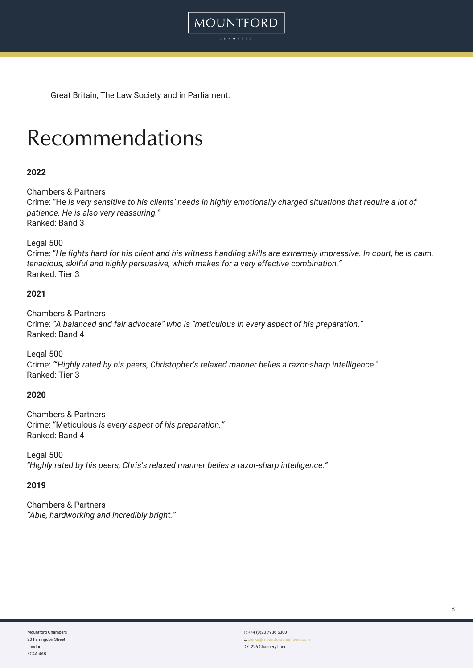Great Britain, The Law Society and in Parliament.

## Recommendations

### **2022**

Chambers & Partners

Crime: "He *is very sensitive to his clients' needs in highly emotionally charged situations that require a lot of patience. He is also very reassuring."* Ranked: Band 3

MOUNTFORD CHAMBER:

Legal 500

Crime: "*He fights hard for his client and his witness handling skills are extremely impressive. In court, he is calm, tenacious, skilful and highly persuasive, which makes for a very effective combination."* Ranked: Tier 3

#### **2021**

Chambers & Partners Crime: *"A balanced and fair advocate" who is "meticulous in every aspect of his preparation."* Ranked: Band 4

Legal 500 Crime: *"*'*Highly rated by his peers, Christopher's relaxed manner belies a razor-sharp intelligence.*' Ranked: Tier 3

#### **2020**

Chambers & Partners Crime: "Meticulous *is every aspect of his preparation."* Ranked: Band 4

Legal 500 *"Highly rated by his peers, Chris's relaxed manner belies a razor-sharp intelligence."*

#### **2019**

Chambers & Partners *"Able, hardworking and incredibly bright."*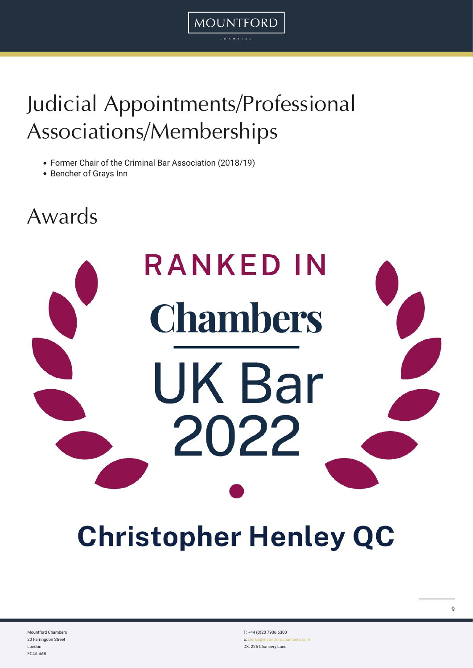## Judicial Appointments/Professional Associations/Memberships

MOUNTFORD CHAMBER

- Former Chair of the Criminal Bar Association (2018/19)
- Bencher of Grays Inn

## Awards

# **RANKED IN Chambers UK Bar** 2022

## **Christopher Henley QC**

Mountford Chambers 20 Farringdon Street London EC4A 4AB

T: +44 (0)20 7936 6300 E: cle DX: 226 Chancery Lane